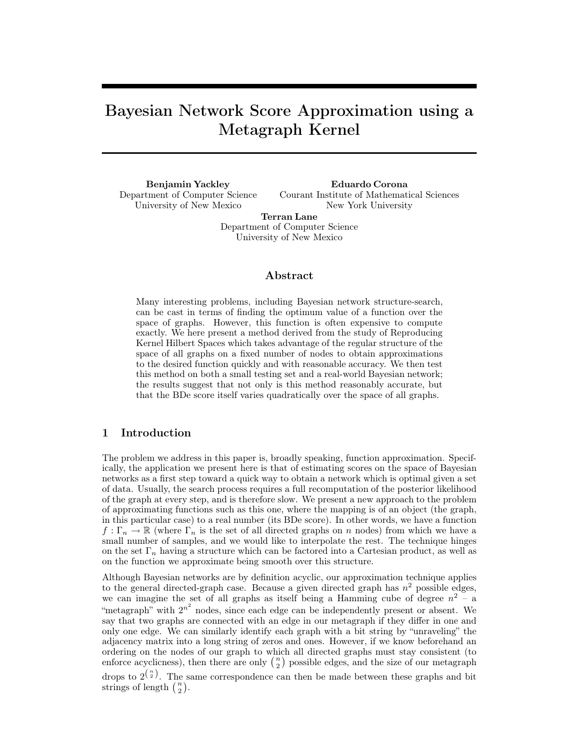# Bayesian Network Score Approximation using a Metagraph Kernel

Benjamin Yackley Department of Computer Science University of New Mexico

Eduardo Corona Courant Institute of Mathematical Sciences New York University

Terran Lane Department of Computer Science University of New Mexico

# Abstract

Many interesting problems, including Bayesian network structure-search, can be cast in terms of finding the optimum value of a function over the space of graphs. However, this function is often expensive to compute exactly. We here present a method derived from the study of Reproducing Kernel Hilbert Spaces which takes advantage of the regular structure of the space of all graphs on a fixed number of nodes to obtain approximations to the desired function quickly and with reasonable accuracy. We then test this method on both a small testing set and a real-world Bayesian network; the results suggest that not only is this method reasonably accurate, but that the BDe score itself varies quadratically over the space of all graphs.

# 1 Introduction

The problem we address in this paper is, broadly speaking, function approximation. Specifically, the application we present here is that of estimating scores on the space of Bayesian networks as a first step toward a quick way to obtain a network which is optimal given a set of data. Usually, the search process requires a full recomputation of the posterior likelihood of the graph at every step, and is therefore slow. We present a new approach to the problem of approximating functions such as this one, where the mapping is of an object (the graph, in this particular case) to a real number (its BDe score). In other words, we have a function  $f: \Gamma_n \to \mathbb{R}$  (where  $\Gamma_n$  is the set of all directed graphs on n nodes) from which we have a small number of samples, and we would like to interpolate the rest. The technique hinges on the set  $\Gamma_n$  having a structure which can be factored into a Cartesian product, as well as on the function we approximate being smooth over this structure.

Although Bayesian networks are by definition acyclic, our approximation technique applies to the general directed-graph case. Because a given directed graph has  $n^2$  possible edges, we can imagine the set of all graphs as itself being a Hamming cube of degree  $n^2 - a$ "metagraph" with  $2^{n^2}$  nodes, since each edge can be independently present or absent. We say that two graphs are connected with an edge in our metagraph if they differ in one and only one edge. We can similarly identify each graph with a bit string by "unraveling" the adjacency matrix into a long string of zeros and ones. However, if we know beforehand an ordering on the nodes of our graph to which all directed graphs must stay consistent (to enforce acyclicness), then there are only  $\binom{n}{2}$  possible edges, and the size of our metagraph

drops to  $2^{n \choose 2}$ . The same correspondence can then be made between these graphs and bit strings of length  $\binom{n}{2}$ .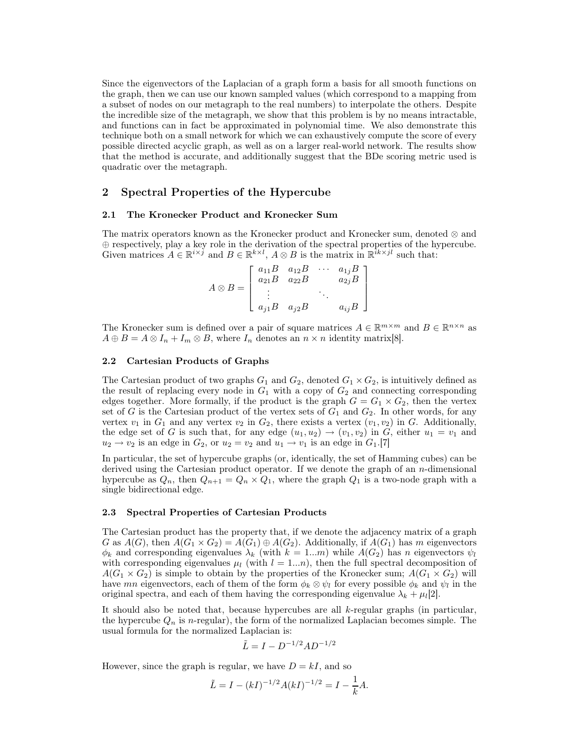Since the eigenvectors of the Laplacian of a graph form a basis for all smooth functions on the graph, then we can use our known sampled values (which correspond to a mapping from a subset of nodes on our metagraph to the real numbers) to interpolate the others. Despite the incredible size of the metagraph, we show that this problem is by no means intractable, and functions can in fact be approximated in polynomial time. We also demonstrate this technique both on a small network for which we can exhaustively compute the score of every possible directed acyclic graph, as well as on a larger real-world network. The results show that the method is accurate, and additionally suggest that the BDe scoring metric used is quadratic over the metagraph.

## 2 Spectral Properties of the Hypercube

#### 2.1 The Kronecker Product and Kronecker Sum

The matrix operators known as the Kronecker product and Kronecker sum, denoted ⊗ and ⊕ respectively, play a key role in the derivation of the spectral properties of the hypercube. Given matrices  $A \in \mathbb{R}^{i \times j}$  and  $B \in \mathbb{R}^{k \times l}$ ,  $A \otimes B$  is the matrix in  $\mathbb{R}^{i k \times j l}$  such that:

|                 |                         | $a_{11}B$ $a_{12}B$<br>$a_{21}B$ $a_{22}B$ | $a_{1j}B$ - |
|-----------------|-------------------------|--------------------------------------------|-------------|
| $A \otimes B =$ |                         |                                            | $a_{2j}B$   |
|                 |                         |                                            |             |
|                 | $a_{j1}B \quad a_{j2}B$ |                                            | $a_{ij}B$   |

The Kronecker sum is defined over a pair of square matrices  $A \in \mathbb{R}^{m \times m}$  and  $B \in \mathbb{R}^{n \times n}$  as  $A \oplus B = A \otimes I_n + I_m \otimes B$ , where  $I_n$  denotes an  $n \times n$  identity matrix[8].

#### 2.2 Cartesian Products of Graphs

The Cartesian product of two graphs  $G_1$  and  $G_2$ , denoted  $G_1 \times G_2$ , is intuitively defined as the result of replacing every node in  $G_1$  with a copy of  $G_2$  and connecting corresponding edges together. More formally, if the product is the graph  $G = G_1 \times G_2$ , then the vertex set of G is the Cartesian product of the vertex sets of  $G_1$  and  $G_2$ . In other words, for any vertex  $v_1$  in  $G_1$  and any vertex  $v_2$  in  $G_2$ , there exists a vertex  $(v_1, v_2)$  in G. Additionally, the edge set of G is such that, for any edge  $(u_1, u_2) \rightarrow (v_1, v_2)$  in G, either  $u_1 = v_1$  and  $u_2 \rightarrow v_2$  is an edge in  $G_2$ , or  $u_2 = v_2$  and  $u_1 \rightarrow v_1$  is an edge in  $G_1$ .[7]

In particular, the set of hypercube graphs (or, identically, the set of Hamming cubes) can be derived using the Cartesian product operator. If we denote the graph of an n-dimensional hypercube as  $Q_n$ , then  $Q_{n+1} = Q_n \times Q_1$ , where the graph  $Q_1$  is a two-node graph with a single bidirectional edge.

#### 2.3 Spectral Properties of Cartesian Products

The Cartesian product has the property that, if we denote the adjacency matrix of a graph G as  $A(G)$ , then  $A(G_1 \times G_2) = A(G_1) \oplus A(G_2)$ . Additionally, if  $A(G_1)$  has m eigenvectors  $\phi_k$  and corresponding eigenvalues  $\lambda_k$  (with  $k = 1...m$ ) while  $A(G_2)$  has n eigenvectors  $\psi_l$ with corresponding eigenvalues  $\mu_l$  (with  $l = 1...n$ ), then the full spectral decomposition of  $A(G_1 \times G_2)$  is simple to obtain by the properties of the Kronecker sum;  $A(G_1 \times G_2)$  will have mn eigenvectors, each of them of the form  $\phi_k \otimes \psi_l$  for every possible  $\phi_k$  and  $\psi_l$  in the original spectra, and each of them having the corresponding eigenvalue  $\lambda_k + \mu_l[2]$ .

It should also be noted that, because hypercubes are all  $k$ -regular graphs (in particular, the hypercube  $Q_n$  is n-regular), the form of the normalized Laplacian becomes simple. The usual formula for the normalized Laplacian is:

$$
\tilde{L} = I - D^{-1/2} A D^{-1/2}
$$

However, since the graph is regular, we have  $D = kI$ , and so

$$
\tilde{L} = I - (kI)^{-1/2} A (kI)^{-1/2} = I - \frac{1}{k} A.
$$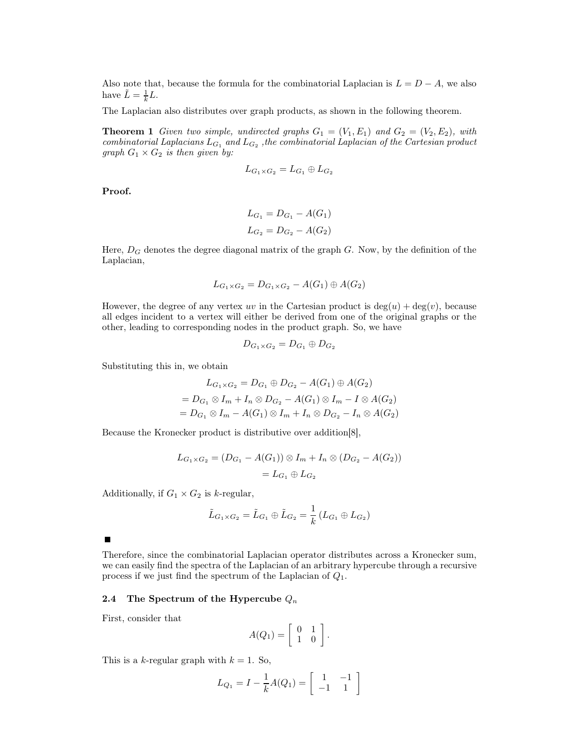Also note that, because the formula for the combinatorial Laplacian is  $L = D - A$ , we also have  $\tilde{L} = \frac{1}{k}$  $\frac{1}{k}L$ .

The Laplacian also distributes over graph products, as shown in the following theorem.

**Theorem 1** Given two simple, undirected graphs  $G_1 = (V_1, E_1)$  and  $G_2 = (V_2, E_2)$ , with combinatorial Laplacians  $L_{G_1}$  and  $L_{G_2}$ , the combinatorial Laplacian of the Cartesian product graph  $G_1 \times G_2$  is then given by:

$$
L_{G_1 \times G_2} = L_{G_1} \oplus L_{G_2}
$$

Proof.

$$
L_{G_1} = D_{G_1} - A(G_1)
$$
  

$$
L_{G_2} = D_{G_2} - A(G_2)
$$

Here,  $D_G$  denotes the degree diagonal matrix of the graph  $G$ . Now, by the definition of the Laplacian,

$$
L_{G_1\times G_2}=D_{G_1\times G_2}-A(G_1)\oplus A(G_2)
$$

However, the degree of any vertex uv in the Cartesian product is  $deg(u) + deg(v)$ , because all edges incident to a vertex will either be derived from one of the original graphs or the other, leading to corresponding nodes in the product graph. So, we have

$$
D_{G_1\times G_2}=D_{G_1}\oplus D_{G_2}
$$

Substituting this in, we obtain

$$
L_{G_1 \times G_2} = D_{G_1} \oplus D_{G_2} - A(G_1) \oplus A(G_2)
$$
  
=  $D_{G_1} \otimes I_m + I_n \otimes D_{G_2} - A(G_1) \otimes I_m - I \otimes A(G_2)$   
=  $D_{G_1} \otimes I_m - A(G_1) \otimes I_m + I_n \otimes D_{G_2} - I_n \otimes A(G_2)$ 

Because the Kronecker product is distributive over addition[8],

$$
L_{G_1 \times G_2} = (D_{G_1} - A(G_1)) \otimes I_m + I_n \otimes (D_{G_2} - A(G_2))
$$
  
=  $L_{G_1} \oplus L_{G_2}$ 

Additionally, if  $G_1 \times G_2$  is k-regular,

$$
\tilde{L}_{G_1 \times G_2} = \tilde{L}_{G_1} \oplus \tilde{L}_{G_2} = \frac{1}{k} (L_{G_1} \oplus L_{G_2})
$$

 $\blacksquare$ 

Therefore, since the combinatorial Laplacian operator distributes across a Kronecker sum, we can easily find the spectra of the Laplacian of an arbitrary hypercube through a recursive process if we just find the spectrum of the Laplacian of  $Q_1$ .

#### 2.4 The Spectrum of the Hypercube  $Q_n$

First, consider that

$$
A(Q_1) = \left[ \begin{array}{cc} 0 & 1 \\ 1 & 0 \end{array} \right].
$$

This is a k-regular graph with  $k = 1$ . So,

$$
L_{Q_1} = I - \frac{1}{k}A(Q_1) = \begin{bmatrix} 1 & -1 \\ -1 & 1 \end{bmatrix}
$$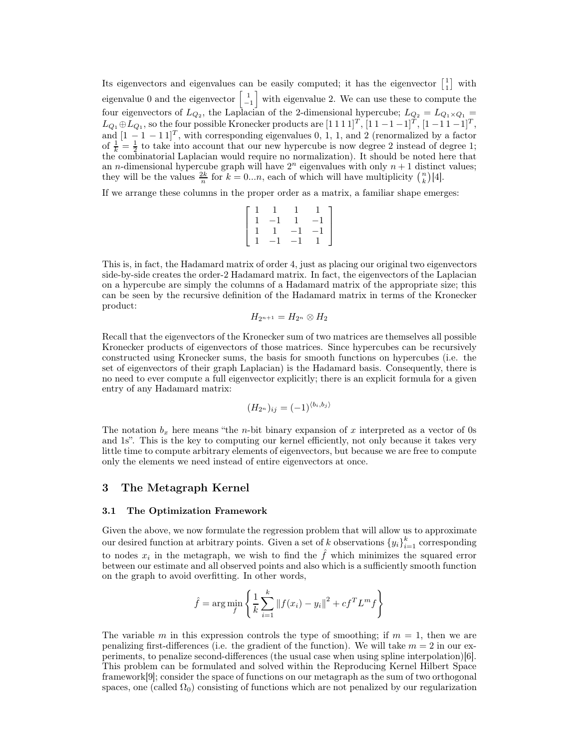Its eigenvectors and eigenvalues can be easily computed; it has the eigenvector  $\begin{bmatrix} 1 \\ 1 \end{bmatrix}$  with eigenvalue 0 and the eigenvector  $\begin{bmatrix} 1 \\ -1 \end{bmatrix}$  with eigenvalue 2. We can use these to compute the four eigenvectors of  $L_{Q_2}$ , the Laplacian of the 2-dimensional hypercube;  $L_{Q_2} = L_{Q_1 \times Q_1} =$  $L_{Q_1} \oplus L_{Q_1}$ , so the four possible Kronecker products are  $[1\ 1\ 1\ 1]^T$ ,  $[1\ 1\ -1\ -1]^T$ ,  $[1\ -1\ 1\ -1]^T$ , and  $[1 - 1 - 11]^T$ , with corresponding eigenvalues 0, 1, 1, and 2 (renormalized by a factor of  $\frac{1}{k} = \frac{1}{2}$  to take into account that our new hypercube is now degree 2 instead of degree 1; the combinatorial Laplacian would require no normalization). It should be noted here that an *n*-dimensional hypercube graph will have  $2^n$  eigenvalues with only  $n + 1$  distinct values; they will be the values  $\frac{2k}{n}$  for  $k = 0...n$ , each of which will have multiplicity  $\binom{n}{k} [4]$ .

If we arrange these columns in the proper order as a matrix, a familiar shape emerges:

$$
\left[\begin{array}{rrrr} 1 & 1 & 1 & 1 \\ 1 & -1 & 1 & -1 \\ 1 & 1 & -1 & -1 \\ 1 & -1 & -1 & 1 \end{array}\right]
$$

This is, in fact, the Hadamard matrix of order 4, just as placing our original two eigenvectors side-by-side creates the order-2 Hadamard matrix. In fact, the eigenvectors of the Laplacian on a hypercube are simply the columns of a Hadamard matrix of the appropriate size; this can be seen by the recursive definition of the Hadamard matrix in terms of the Kronecker product:

$$
H_{2^{n+1}}=H_{2^n}\otimes H_2
$$

Recall that the eigenvectors of the Kronecker sum of two matrices are themselves all possible Kronecker products of eigenvectors of those matrices. Since hypercubes can be recursively constructed using Kronecker sums, the basis for smooth functions on hypercubes (i.e. the set of eigenvectors of their graph Laplacian) is the Hadamard basis. Consequently, there is no need to ever compute a full eigenvector explicitly; there is an explicit formula for a given entry of any Hadamard matrix:

$$
(H_{2^n})_{ij} = (-1)^{\langle b_i, b_j \rangle}
$$

The notation  $b_x$  here means "the *n*-bit binary expansion of x interpreted as a vector of 0s and 1s". This is the key to computing our kernel efficiently, not only because it takes very little time to compute arbitrary elements of eigenvectors, but because we are free to compute only the elements we need instead of entire eigenvectors at once.

## 3 The Metagraph Kernel

#### 3.1 The Optimization Framework

Given the above, we now formulate the regression problem that will allow us to approximate our desired function at arbitrary points. Given a set of k observations  ${y_i}_{i=1}^k$  corresponding to nodes  $x_i$  in the metagraph, we wish to find the  $\hat{f}$  which minimizes the squared error between our estimate and all observed points and also which is a sufficiently smooth function on the graph to avoid overfitting. In other words,

$$
\hat{f}
$$
 = arg min $\left\{\frac{1}{k}\sum_{i=1}^{k} ||f(x_i) - y_i||^2 + cf^T L^m f\right\}$ 

The variable m in this expression controls the type of smoothing; if  $m = 1$ , then we are penalizing first-differences (i.e. the gradient of the function). We will take  $m = 2$  in our experiments, to penalize second-differences (the usual case when using spline interpolation)[6]. This problem can be formulated and solved within the Reproducing Kernel Hilbert Space framework[9]; consider the space of functions on our metagraph as the sum of two orthogonal spaces, one (called  $\Omega_0$ ) consisting of functions which are not penalized by our regularization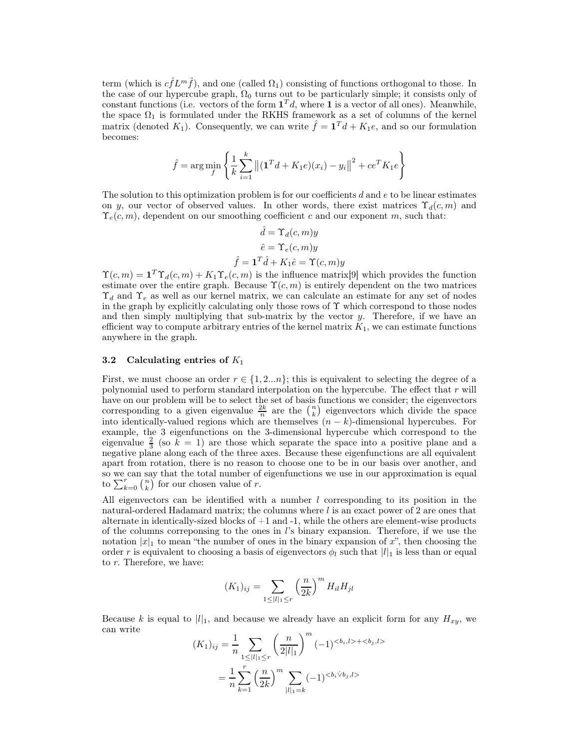term (which is  $c\hat{f}L^m\hat{f}$ ), and one (called  $\Omega_1$ ) consisting of functions orthogonal to those. In the case of our hypercube graph,  $\Omega_0$  turns out to be particularly simple; it consists only of constant functions (i.e. vectors of the form  $\mathbf{1}^T d$ , where 1 is a vector of all ones). Meanwhile, the space  $\Omega_1$  is formulated under the RKHS framework as a set of columns of the kernel matrix (denoted  $K_1$ ). Consequently, we can write  $\hat{f} = \mathbf{1}^T d + K_1 e$ , and so our formulation becomes:

$$
\hat{f} = \arg\min_{f} \left\{ \frac{1}{k} \sum_{i=1}^{k} \left\| (\mathbf{1}^T d + K_1 e)(x_i) - y_i \right\|^2 + c e^T K_1 e \right\}
$$

The solution to this optimization problem is for our coefficients  $d$  and  $e$  to be linear estimates on y, our vector of observed values. In other words, there exist matrices  $\Upsilon_d(c, m)$  and  $\Upsilon_e(c, m)$ , dependent on our smoothing coefficient c and our exponent m, such that:

$$
\hat{d} = \Upsilon_d(c, m)y
$$

$$
\hat{e} = \Upsilon_e(c, m)y
$$

$$
\hat{f} = \mathbf{1}^T \hat{d} + K_1 \hat{e} = \Upsilon(c, m)y
$$

 $\Upsilon(c, m) = \mathbf{1}^T \Upsilon_d(c, m) + K_1 \Upsilon_e(c, m)$  is the influence matrix [9] which provides the function estimate over the entire graph. Because  $\Upsilon(c, m)$  is entirely dependent on the two matrices  $\Upsilon_d$  and  $\Upsilon_e$  as well as our kernel matrix, we can calculate an estimate for any set of nodes in the graph by explicitly calculating only those rows of  $\Upsilon$  which correspond to those nodes and then simply multiplying that sub-matrix by the vector  $y$ . Therefore, if we have an efficient way to compute arbitrary entries of the kernel matrix  $K_1$ , we can estimate functions anywhere in the graph.

#### 3.2 Calculating entries of  $K_1$

First, we must choose an order  $r \in \{1, 2...n\}$ ; this is equivalent to selecting the degree of a polynomial used to perform standard interpolation on the hypercube. The effect that r will have on our problem will be to select the set of basis functions we consider; the eigenvectors corresponding to a given eigenvalue  $\frac{2k}{n}$  are the  $\binom{n}{k}$  eigenvectors which divide the space into identically-valued regions which are themselves  $(n - k)$ -dimensional hypercubes. For example, the 3 eigenfunctions on the 3-dimensional hypercube which correspond to the eigenvalue  $\frac{2}{3}$  (so  $\tilde{k} = 1$ ) are those which separate the space into a positive plane and a negative plane along each of the three axes. Because these eigenfunctions are all equivalent apart from rotation, there is no reason to choose one to be in our basis over another, and so we can say that the total number of eigenfunctions we use in our approximation is equal to  $\sum_{k=0}^{r} \binom{n}{k}$  for our chosen value of r.

All eigenvectors can be identified with a number  $l$  corresponding to its position in the natural-ordered Hadamard matrix; the columns where  $l$  is an exact power of 2 are ones that alternate in identically-sized blocks of  $+1$  and  $-1$ , while the others are element-wise products of the columns correponsing to the ones in  $l$ 's binary expansion. Therefore, if we use the notation  $|x|_1$  to mean "the number of ones in the binary expansion of x", then choosing the order r is equivalent to choosing a basis of eigenvectors  $\phi_l$  such that  $|l|_1$  is less than or equal to r. Therefore, we have:

$$
(K_1)_{ij} = \sum_{1 \le |l|_1 \le r} \left(\frac{n}{2k}\right)^m H_{il} H_{jl}
$$

Because k is equal to  $|l|_1$ , and because we already have an explicit form for any  $H_{xy}$ , we can write

$$
(K_1)_{ij} = \frac{1}{n} \sum_{1 \le |l|_1 \le r} \left(\frac{n}{2|l|_1}\right)^m (-1)^{< b_i, l > + < b_j, l >}{}
$$
\n
$$
= \frac{1}{n} \sum_{k=1}^r \left(\frac{n}{2k}\right)^m \sum_{|l|_1 = k} (-1)^{< b_i \vee b_j, l >}
$$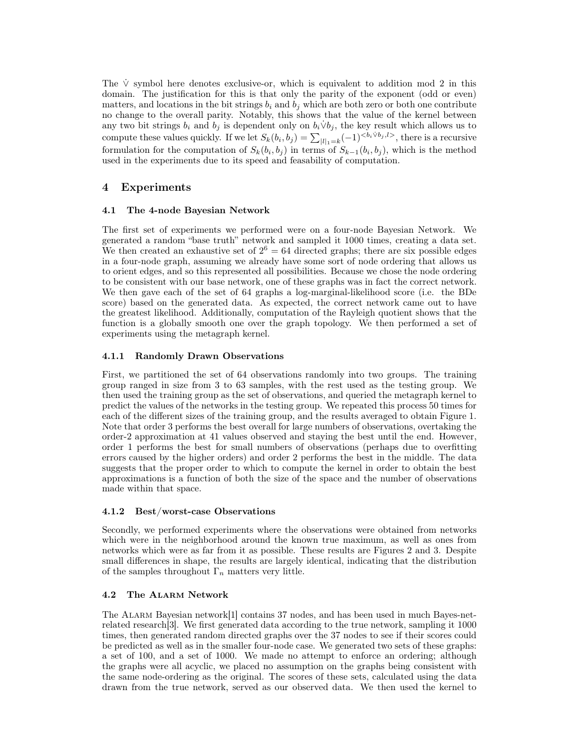The  $\dot{V}$  symbol here denotes exclusive-or, which is equivalent to addition mod 2 in this domain. The justification for this is that only the parity of the exponent (odd or even) matters, and locations in the bit strings  $b_i$  and  $b_j$  which are both zero or both one contribute no change to the overall parity. Notably, this shows that the value of the kernel between any two bit strings  $b_i$  and  $b_j$  is dependent only on  $b_i \dot{\vee} b_j$ , the key result which allows us to compute these values quickly. If we let  $S_k(b_i, b_j) = \sum_{|l|=k} (-1)^{\langle b_i \dot{\vee} b_j, l \rangle}$ , there is a recursive formulation for the computation of  $S_k(b_i, b_j)$  in terms of  $S_{k-1}(b_i, b_j)$ , which is the method used in the experiments due to its speed and feasability of computation.

# 4 Experiments

## 4.1 The 4-node Bayesian Network

The first set of experiments we performed were on a four-node Bayesian Network. We generated a random "base truth" network and sampled it 1000 times, creating a data set. We then created an exhaustive set of  $2^6 = 64$  directed graphs; there are six possible edges in a four-node graph, assuming we already have some sort of node ordering that allows us to orient edges, and so this represented all possibilities. Because we chose the node ordering to be consistent with our base network, one of these graphs was in fact the correct network. We then gave each of the set of 64 graphs a log-marginal-likelihood score (i.e. the BDe score) based on the generated data. As expected, the correct network came out to have the greatest likelihood. Additionally, computation of the Rayleigh quotient shows that the function is a globally smooth one over the graph topology. We then performed a set of experiments using the metagraph kernel.

# 4.1.1 Randomly Drawn Observations

First, we partitioned the set of 64 observations randomly into two groups. The training group ranged in size from 3 to 63 samples, with the rest used as the testing group. We then used the training group as the set of observations, and queried the metagraph kernel to predict the values of the networks in the testing group. We repeated this process 50 times for each of the different sizes of the training group, and the results averaged to obtain Figure 1. Note that order 3 performs the best overall for large numbers of observations, overtaking the order-2 approximation at 41 values observed and staying the best until the end. However, order 1 performs the best for small numbers of observations (perhaps due to overfitting errors caused by the higher orders) and order 2 performs the best in the middle. The data suggests that the proper order to which to compute the kernel in order to obtain the best approximations is a function of both the size of the space and the number of observations made within that space.

## 4.1.2 Best/worst-case Observations

Secondly, we performed experiments where the observations were obtained from networks which were in the neighborhood around the known true maximum, as well as ones from networks which were as far from it as possible. These results are Figures 2 and 3. Despite small differences in shape, the results are largely identical, indicating that the distribution of the samples throughout  $\Gamma_n$  matters very little.

## 4.2 The Alarm Network

The Alarm Bayesian network[1] contains 37 nodes, and has been used in much Bayes-netrelated research[3]. We first generated data according to the true network, sampling it 1000 times, then generated random directed graphs over the 37 nodes to see if their scores could be predicted as well as in the smaller four-node case. We generated two sets of these graphs: a set of 100, and a set of 1000. We made no attempt to enforce an ordering; although the graphs were all acyclic, we placed no assumption on the graphs being consistent with the same node-ordering as the original. The scores of these sets, calculated using the data drawn from the true network, served as our observed data. We then used the kernel to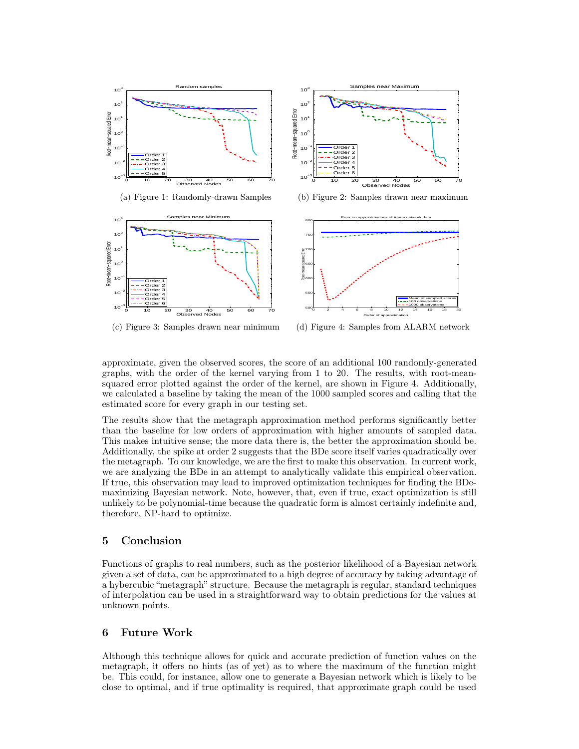

(a) Figure 1: Randomly-drawn Samples





(b) Figure 2: Samples drawn near maximum



(c) Figure 3: Samples drawn near minimum

(d) Figure 4: Samples from ALARM network

approximate, given the observed scores, the score of an additional 100 randomly-generated graphs, with the order of the kernel varying from 1 to 20. The results, with root-meansquared error plotted against the order of the kernel, are shown in Figure 4. Additionally, we calculated a baseline by taking the mean of the 1000 sampled scores and calling that the estimated score for every graph in our testing set.

The results show that the metagraph approximation method performs significantly better than the baseline for low orders of approximation with higher amounts of sampled data. This makes intuitive sense; the more data there is, the better the approximation should be. Additionally, the spike at order 2 suggests that the BDe score itself varies quadratically over the metagraph. To our knowledge, we are the first to make this observation. In current work, we are analyzing the BDe in an attempt to analytically validate this empirical observation. If true, this observation may lead to improved optimization techniques for finding the BDemaximizing Bayesian network. Note, however, that, even if true, exact optimization is still unlikely to be polynomial-time because the quadratic form is almost certainly indefinite and, therefore, NP-hard to optimize.

# 5 Conclusion

Functions of graphs to real numbers, such as the posterior likelihood of a Bayesian network given a set of data, can be approximated to a high degree of accuracy by taking advantage of a hybercubic "metagraph" structure. Because the metagraph is regular, standard techniques of interpolation can be used in a straightforward way to obtain predictions for the values at unknown points.

# 6 Future Work

Although this technique allows for quick and accurate prediction of function values on the metagraph, it offers no hints (as of yet) as to where the maximum of the function might be. This could, for instance, allow one to generate a Bayesian network which is likely to be close to optimal, and if true optimality is required, that approximate graph could be used